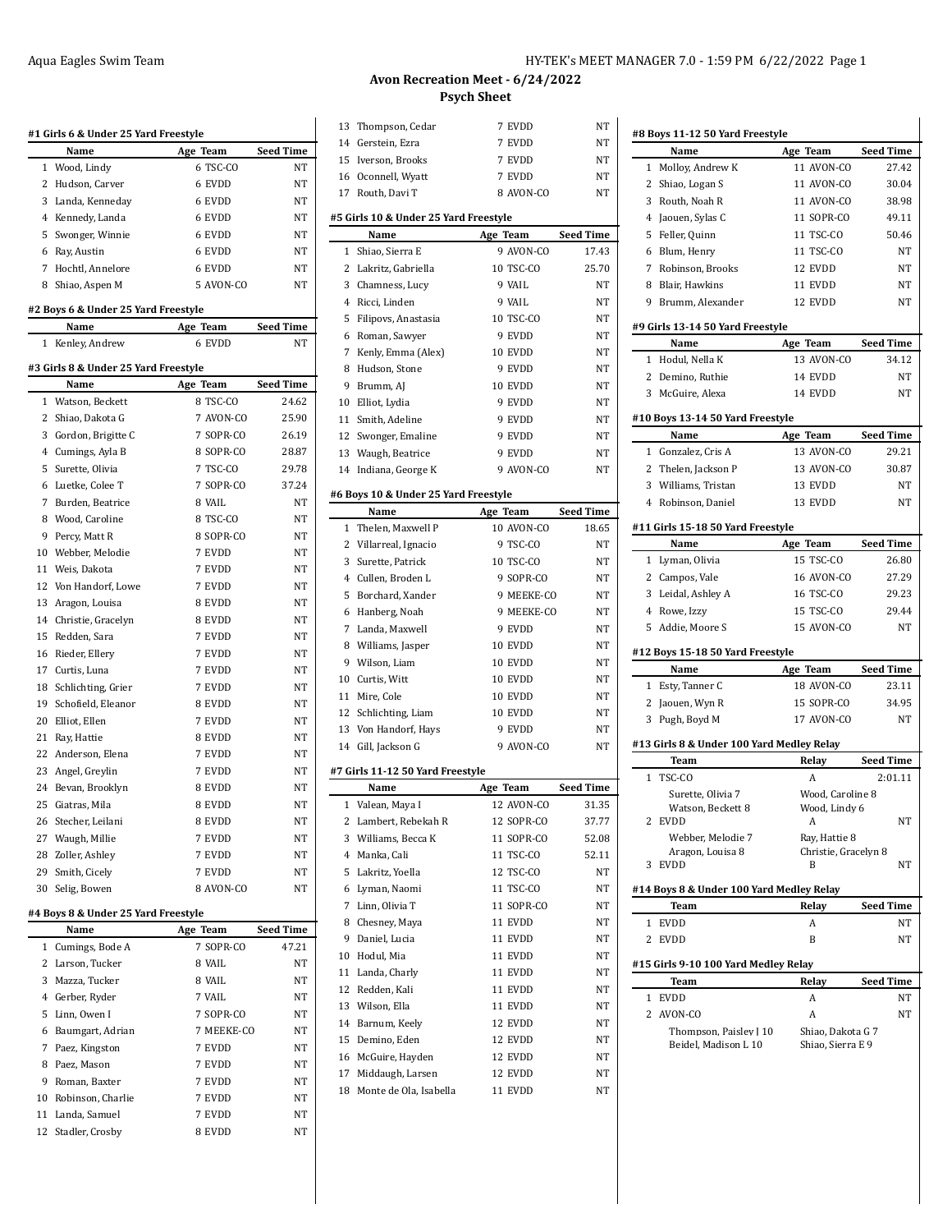|        | #1 Girls 6 & Under 25 Yard Freestyle        |                  |                  |
|--------|---------------------------------------------|------------------|------------------|
|        | Name                                        | Age Team         | Seed Time        |
| 1      | Wood, Lindy                                 | 6 TSC-CO         | NΤ               |
| 2      | Hudson, Carver                              | 6 EVDD           | NΤ               |
| 3      | Landa, Kenneday                             | 6 EVDD           | NΤ               |
| 4      | Kennedy, Landa                              | 6 EVDD           | NT               |
| 5      | Swonger, Winnie                             | 6 EVDD           | NT               |
| 6      | Ray, Austin                                 | 6 EVDD           | NT               |
| 7      | Hochtl, Annelore                            | 6 EVDD           | NΤ               |
| 8      | Shiao, Aspen M                              | 5 AVON-CO        | NT               |
|        | #2 Boys 6 & Under 25 Yard Freestyle         |                  |                  |
|        | Name                                        | Age Team         | <b>Seed Time</b> |
| 1      | Kenley, Andrew                              | 6 EVDD           | NT               |
|        | #3 Girls 8 & Under 25 Yard Freestyle        |                  |                  |
|        | Name                                        | Age Team         | <b>Seed Time</b> |
| 1      | Watson, Beckett                             | 8 TSC-CO         | 24.62            |
| 2      | Shiao, Dakota G                             | 7 AVON-CO        | 25.90            |
| 3      | Gordon, Brigitte C                          | 7 SOPR-CO        | 26.19            |
|        | 4 Cumings, Ayla B                           | 8 SOPR-CO        | 28.87            |
| 5      | Surette, Olivia                             | 7 TSC-CO         | 29.78            |
| 6      | Luetke, Colee T                             | 7 SOPR-CO        | 37.24            |
| 7      | Burden, Beatrice                            | 8 VAIL           | NT               |
| 8      | Wood, Caroline                              | 8 TSC-CO         | NΤ               |
| 9      | Percy, Matt R                               | 8 SOPR-CO        | NΤ               |
|        | 10 Webber, Melodie                          | 7 EVDD           | NΤ               |
| 11     | Weis, Dakota                                | 7 EVDD           | NT               |
|        | 12 Von Handorf, Lowe                        | 7 EVDD           | NT               |
| 13     | Aragon, Louisa                              | 8 EVDD           | NT               |
|        | 14 Christie, Gracelyn                       | 8 EVDD           | NΤ               |
| 15     | Redden, Sara                                | 7 EVDD           | NΤ               |
| 16     | Rieder, Ellery                              | 7 EVDD           | NΤ               |
|        | 17 Curtis, Luna                             | 7 EVDD           | NΤ               |
| 18     |                                             | 7 EVDD           | NT               |
|        | Schlichting, Grier<br>19 Schofield, Eleanor | 8 EVDD           | NΤ               |
|        |                                             | 7 EVDD           | NΤ               |
|        | 20 Elliot, Ellen                            |                  |                  |
|        | 21 Ray, Hattie<br>22 Anderson, Elena        | 8 EVDD<br>7 EVDD | NΤ<br>NΤ         |
|        |                                             |                  |                  |
|        | 23 Angel, Greylin                           | 7 EVDD           | NT               |
|        | 24 Bevan, Brooklyn                          | 8 EVDD           | NΤ               |
| 25     | Giatras, Mila                               | 8 EVDD           | NT               |
| 26     | Stecher, Leilani                            | 8 EVDD           | NΤ               |
| 27     | Waugh, Millie                               | 7 EVDD           | NΤ               |
| 28     | Zoller, Ashley                              | 7 EVDD           | NΤ               |
| 29     | Smith, Cicely                               | 7 EVDD           | NΤ               |
| 30     | Selig, Bowen                                | 8 AVON-CO        | NΤ               |
|        | #4 Boys 8 & Under 25 Yard Freestyle         |                  |                  |
|        | Name                                        | Age Team         | <b>Seed Time</b> |
| 1<br>2 | Cumings, Bode A<br>Larson, Tucker           | 7 SOPR-CO        | 47.21            |
|        |                                             | 8 VAIL           | NΤ<br>NT         |
| 3      | Mazza, Tucker                               | 8 VAIL           |                  |
| 4      | Gerber, Ryder                               | 7 VAIL           | NΤ               |
| 5      | Linn, Owen I                                | 7 SOPR-CO        | NΤ               |
| 6      | Baumgart, Adrian                            | 7 MEEKE-CO       | NΤ               |
| 7      | Paez, Kingston                              | 7 EVDD           | NΤ               |
| 8      | Paez, Mason                                 | 7 EVDD           | NT               |

9 Roman, Baxter 7 EVDD NT Robinson, Charlie 7 EVDD NT Landa, Samuel 7 EVDD NT 12 Stadler, Crosby 8 EVDD NT

 $\ddot{\phantom{a}}$ 

# **Avon Recreation Meet - 6/24/2022 Psych Sheet**

| 13 | Thompson, Cedar                       | 7 EVDD     | NΤ               |
|----|---------------------------------------|------------|------------------|
|    | 14 Gerstein, Ezra                     | 7 EVDD     | NT               |
| 15 | Iverson, Brooks                       | 7 EVDD     | NΤ               |
|    | 16 Oconnell, Wyatt                    | 7 EVDD     | NΤ               |
| 17 | Routh, Davi T                         | 8 AVON-CO  | NT               |
|    |                                       |            |                  |
|    | #5 Girls 10 & Under 25 Yard Freestyle |            |                  |
|    | Name                                  | Age Team   | Seed Time        |
| 1  | Shiao, Sierra E                       | 9 AVON-CO  | 17.43            |
| 2  | Lakritz, Gabriella                    | 10 TSC-CO  | 25.70            |
| 3  | Chamness, Lucy                        | 9 VAIL     | NT               |
| 4  | Ricci, Linden                         | 9 VAIL     | NT               |
| 5  | Filipovs, Anastasia                   | 10 TSC-CO  | NT               |
| 6  | Roman, Sawyer                         | 9 EVDD     | NT               |
| 7  | Kenly, Emma (Alex)                    | 10 EVDD    | NT               |
| 8  | Hudson, Stone                         | 9 EVDD     | NT               |
| 9  | Brumm, AJ                             | 10 EVDD    | NΤ               |
| 10 | Elliot, Lydia                         | 9 EVDD     | NT               |
| 11 | Smith, Adeline                        | 9 EVDD     | NT               |
|    | 12 Swonger, Emaline                   | 9 EVDD     | NΤ               |
|    | 13 Waugh, Beatrice                    | 9 EVDD     | NT               |
|    | 14 Indiana, George K                  | 9 AVON-CO  | NΤ               |
|    | #6 Boys 10 & Under 25 Yard Freestyle  |            |                  |
|    | Name                                  | Age Team   | <b>Seed Time</b> |
| 1  | Thelen, Maxwell P                     | 10 AVON-CO | 18.65            |
| 2  | Villarreal, Ignacio                   | 9 TSC-CO   | NΤ               |
| 3  | Surette, Patrick                      | 10 TSC-CO  | NT               |
| 4  | Cullen, Broden L                      | 9 SOPR-CO  | NT               |
| 5  | Borchard, Xander                      | 9 MEEKE-CO | NΤ               |
| 6  | Hanberg, Noah                         | 9 MEEKE-CO | NT               |
| 7  | Landa, Maxwell                        | 9 EVDD     | NT               |
| 8  | Williams, Jasper                      | 10 EVDD    | NT               |
|    | 9 Wilson, Liam                        | 10 EVDD    | NΤ               |
|    | 10 Curtis, Witt                       | 10 EVDD    | NΤ               |
|    | 11 Mire, Cole                         | 10 EVDD    | NΤ               |
| 12 | Schlichting, Liam                     | 10 EVDD    | NΤ               |
| 13 | Von Handorf, Hays                     | 9 EVDD     | NΤ               |
|    |                                       | 9 AVON-CO  | NT               |
|    | 14 Gill, Jackson G                    |            |                  |
|    | #7 Girls 11-12 50 Yard Freestyle      |            |                  |
|    | Name                                  | Age Team   | <b>Seed Time</b> |
| 1  | Valean, Maya I                        | 12 AVON-CO | 31.35            |
| 2  | Lambert, Rebekah R                    | 12 SOPR-CO | 37.77            |
| 3  | Williams, Becca K                     | 11 SOPR-CO | 52.08            |
| 4  | Manka, Cali                           | 11 TSC-CO  | 52.11            |
| 5  | Lakritz, Yoella                       | 12 TSC-CO  | <b>NT</b>        |
| 6  | Lyman, Naomi                          | 11 TSC-CO  | NΤ               |
| 7  | Linn, Olivia T                        | 11 SOPR-CO | NΤ               |
| 8  | Chesney, Maya                         | 11 EVDD    | NT               |
| 9  | Daniel, Lucia                         | 11 EVDD    | NΤ               |
| 10 | Hodul, Mia                            | 11 EVDD    | NT               |
| 11 | Landa, Charly                         | 11 EVDD    | NΤ               |
| 12 | Redden, Kali                          | 11 EVDD    | NΤ               |
| 13 | Wilson, Ella                          | 11 EVDD    | NΤ               |
| 14 | Barnum, Keely                         | 12 EVDD    | NΤ               |
| 15 | Demino, Eden                          | 12 EVDD    | NT               |
| 16 | McGuire, Hayden                       | 12 EVDD    | NΤ               |
| 17 | Middaugh, Larsen                      | 12 EVDD    | NΤ               |
| 18 | Monte de Ola, Isabella                | 11 EVDD    | NT               |
|    |                                       |            |                  |

|   | #8 Boys 11-12 50 Yard Freestyle           |                      |                  |
|---|-------------------------------------------|----------------------|------------------|
|   | Name                                      | Age Team             | <b>Seed Time</b> |
| 1 | Molloy, Andrew K                          | 11 AVON-CO           | 27.42            |
| 2 | Shiao, Logan S                            | 11 AVON-CO           | 30.04            |
| 3 | Routh, Noah R                             | 11 AVON-CO           | 38.98            |
|   | 4 Jaouen, Sylas C                         | 11 SOPR-CO           | 49.11            |
|   | 5 Feller, Quinn                           | 11 TSC-CO            | 50.46            |
|   | 6 Blum, Henry                             | 11 TSC-CO            | NT               |
|   | 7 Robinson, Brooks                        | 12 EVDD              | NΤ               |
| 8 | Blair, Hawkins                            | 11 EVDD              | NΤ               |
|   | 9 Brumm, Alexander                        | 12 EVDD              | NΤ               |
|   | #9 Girls 13-14 50 Yard Freestyle          |                      |                  |
|   | Name                                      | Age Team             | <b>Seed Time</b> |
| 1 | Hodul, Nella K                            | 13 AVON-CO           | 34.12            |
| 2 | Demino, Ruthie                            | 14 EVDD              | NΤ               |
|   | 3 McGuire, Alexa                          | 14 EVDD              | NT               |
|   |                                           |                      |                  |
|   | #10 Boys 13-14 50 Yard Freestyle          |                      |                  |
|   | Name                                      | Age Team             | <b>Seed Time</b> |
|   | 1 Gonzalez, Cris A                        | 13 AVON-CO           | 29.21            |
|   | 2 Thelen, Jackson P                       | 13 AVON-CO           | 30.87            |
|   | 3 Williams, Tristan                       | 13 EVDD              | NT               |
|   | 4 Robinson, Daniel                        | 13 EVDD              | NT               |
|   | #11 Girls 15-18 50 Yard Freestyle         |                      |                  |
|   | Name                                      | Age Team             | <b>Seed Time</b> |
|   | 1 Lyman, Olivia                           | 15 TSC-CO            | 26.80            |
|   | 2 Campos, Vale                            | 16 AVON-CO           | 27.29            |
|   | 3 Leidal, Ashley A                        | 16 TSC-CO            | 29.23            |
|   | 4 Rowe, Izzy                              | 15 TSC-CO            | 29.44            |
|   | 5 Addie, Moore S                          | 15 AVON-CO           | NT               |
|   | #12 Boys 15-18 50 Yard Freestyle          |                      |                  |
|   |                                           |                      |                  |
|   | Name                                      | Age Team             | <b>Seed Time</b> |
| 1 | Esty, Tanner C                            | 18 AVON-CO           | 23.11            |
| 2 | Jaouen, Wyn R                             | 15 SOPR-CO           | 34.95            |
| 3 | Pugh, Boyd M                              | 17 AVON-CO           | NT               |
|   | #13 Girls 8 & Under 100 Yard Medley Relay |                      |                  |
|   | Team                                      | Relay                | <b>Seed Time</b> |
| 1 | TSC-CO                                    | A                    | 2:01.11          |
|   | Surette, Olivia 7                         | Wood, Caroline 8     |                  |
|   | Watson, Beckett 8                         | Wood, Lindy 6        |                  |
|   | 2 EVDD                                    | A                    | ΝΊ               |
|   | Webber, Melodie 7                         | Ray, Hattie 8        |                  |
|   | Aragon, Louisa 8                          | Christie, Gracelyn 8 |                  |
| 3 | EVDD                                      | В                    | NΤ               |
|   | #14 Boys 8 & Under 100 Yard Medley Relay  |                      |                  |
|   | Team                                      | Relay                | <b>Seed Time</b> |
| 1 | <b>EVDD</b>                               | A                    | NΤ               |
| 2 | <b>EVDD</b>                               | B                    | NΤ               |
|   | #15 Girls 9-10 100 Yard Medley Relay      |                      |                  |
|   | Team                                      | Relay                | <b>Seed Time</b> |
| 1 | <b>EVDD</b>                               | A                    | NΤ               |
| 2 | AVON-CO                                   | A                    | NΤ               |
|   | Thompson, Paisley J 10                    | Shiao, Dakota G 7    |                  |
|   | Beidel, Madison L 10                      | Shiao, Sierra E 9    |                  |
|   |                                           |                      |                  |
|   |                                           |                      |                  |
|   |                                           |                      |                  |
|   |                                           |                      |                  |
|   |                                           |                      |                  |
|   |                                           |                      |                  |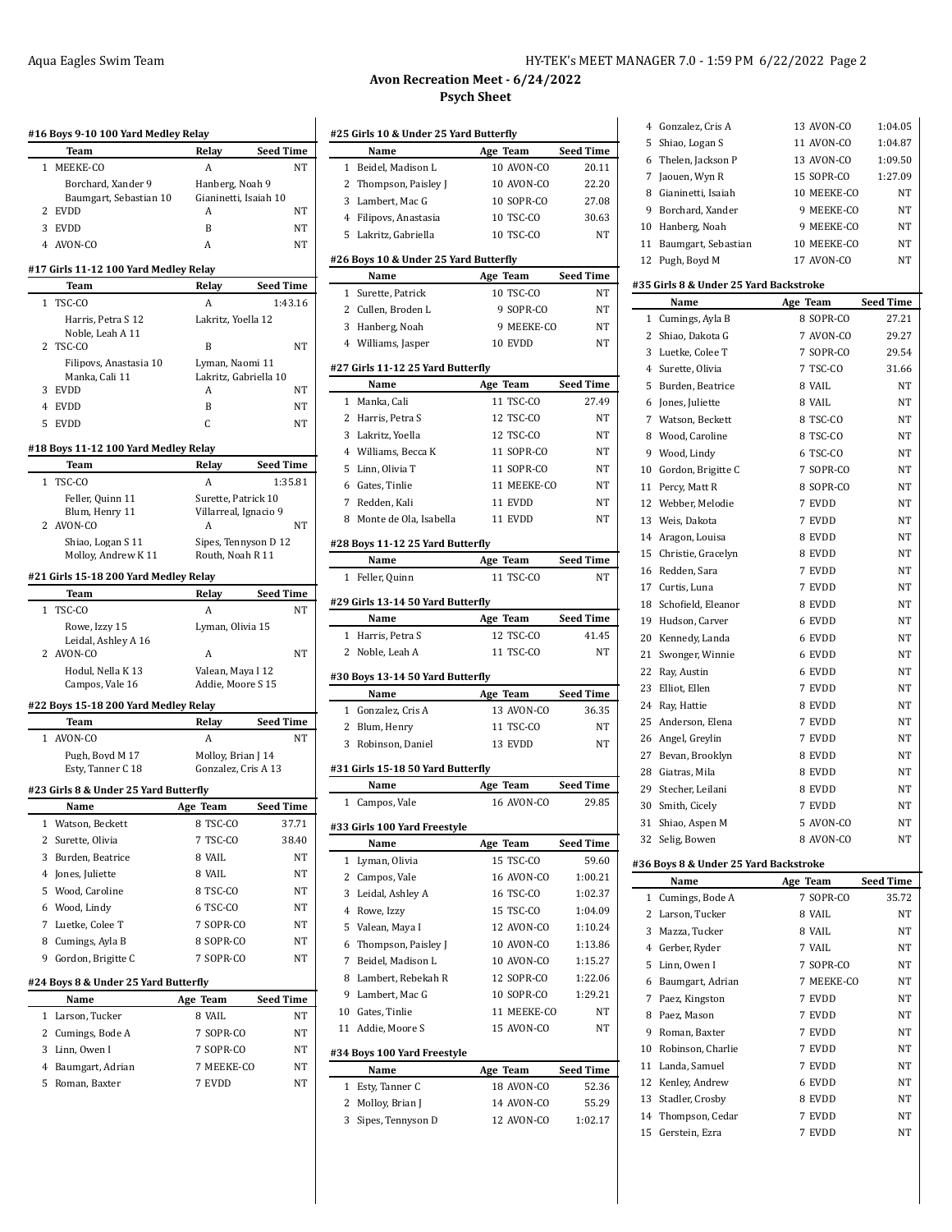|                | #16 Boys 9-10 100 Yard Medley Relay   |                       |                  |
|----------------|---------------------------------------|-----------------------|------------------|
|                | Team                                  | Relay                 | <b>Seed Time</b> |
| 1              | MEEKE-CO                              | Α                     | NΤ               |
|                | Borchard, Xander 9                    | Hanberg, Noah 9       |                  |
|                | Baumgart, Sebastian 10                | Gianinetti, Isaiah 10 |                  |
| 2              | <b>EVDD</b>                           | A                     | NT               |
|                | 3 EVDD                                | B                     | NΤ               |
|                | 4 AVON-CO                             | A                     | NΤ               |
|                | #17 Girls 11-12 100 Yard Medley Relay |                       |                  |
|                | Team                                  | Relay                 | <b>Seed Time</b> |
| 1              | TSC-CO                                | A                     | 1:43.16          |
|                | Harris, Petra S 12                    | Lakritz, Yoella 12    |                  |
|                | Noble, Leah A 11                      |                       |                  |
| 2              | TSC-CO                                | B                     | NΤ               |
|                | Filipovs, Anastasia 10                | Lyman, Naomi 11       |                  |
|                | Manka, Cali 11                        | Lakritz, Gabriella 10 |                  |
| 3              | EVDD                                  | А                     | NT               |
| 4              | EVDD                                  | B                     | NT               |
| 5              | EVDD                                  | C                     | NΤ               |
|                | #18 Boys 11-12 100 Yard Medley Relay  |                       |                  |
|                | Team                                  | Relay                 | <b>Seed Time</b> |
| $\mathbf{1}$   | TSC-CO                                | A                     | 1:35.81          |
|                | Feller, Quinn 11                      | Surette, Patrick 10   |                  |
|                | Blum, Henry 11                        | Villarreal, Ignacio 9 |                  |
|                | 2 AVON-CO                             | A                     | NΤ               |
|                | Shiao. Logan S 11                     | Sipes, Tennyson D 12  |                  |
|                | Molloy, Andrew K 11                   | Routh, Noah R 11      |                  |
|                | #21 Girls 15-18 200 Yard Medley Relay |                       |                  |
|                | Team                                  | Relay                 | <b>Seed Time</b> |
|                | 1 TSC-CO                              | A                     | NΤ               |
|                | Rowe, Izzy 15                         | Lyman, Olivia 15      |                  |
|                | Leidal, Ashley A 16                   |                       |                  |
| 2              | AVON-CO                               | А                     | NT               |
|                | Hodul, Nella K 13<br>Campos, Vale 16  | Valean, Maya I 12     |                  |
|                |                                       |                       |                  |
|                |                                       | Addie, Moore S 15     |                  |
|                | #22 Boys 15-18 200 Yard Medley Relay  |                       |                  |
|                | Team                                  | Relay                 | <b>Seed Time</b> |
| $\mathbf{1}$   | AVON-CO                               | A                     | NT               |
|                | Pugh, Boyd M 17                       | Molloy, Brian J 14    |                  |
|                | Esty, Tanner C 18                     | Gonzalez, Cris A 13   |                  |
|                | #23 Girls 8 & Under 25 Yard Butterfly |                       |                  |
|                | Name                                  | Age Team              | Seed Time        |
| 1              | Watson, Beckett                       | 8 TSC-CO              | 37.71            |
| $\overline{c}$ | Surette, Olivia                       | 7 TSC-CO              | 38.40            |
| 3              | Burden, Beatrice                      | 8 VAIL                | NT               |
|                | 4 Jones, Juliette                     | 8 VAIL                | NΤ               |
|                | Wood, Caroline                        | 8 TSC-CO              |                  |
| 5              |                                       |                       | NT               |
|                | 6 Wood, Lindy                         | 6 TSC-CO              | NT               |
| $7^{\circ}$    | Luetke, Colee T                       | 7 SOPR-CO             | NT               |
|                | 8 Cumings, Ayla B                     | 8 SOPR-CO             | NT               |
| 9              | Gordon, Brigitte C                    | 7 SOPR-CO             | NΤ               |
|                | #24 Boys 8 & Under 25 Yard Butterfly  |                       |                  |
|                | Name                                  | Age Team              | Seed Time        |
| 1              | Larson, Tucker                        | 8 VAIL                | NT               |
| $\mathbf{2}$   | Cumings, Bode A                       | 7 SOPR-CO             | NT               |
| 3              | Linn, Owen I                          | 7 SOPR-CO             | NT               |
| 4              | Baumgart, Adrian                      | 7 MEEKE-CO            | NT               |
| 5              | Roman, Baxter                         | 7 EVDD                | NΤ               |

# Aqua Eagles Swim Team **HY-TEK's MEET MANAGER 7.0 - 1:59 PM 6/22/2022** Page 2

# **Avon Recreation Meet - 6/24/2022 Psych Sheet**

|                | #25 Girls 10 & Under 25 Yard Butterfly    |                        |                  |
|----------------|-------------------------------------------|------------------------|------------------|
|                | Name                                      | Age Team               | <b>Seed Time</b> |
| $\mathbf{1}$   | Beidel. Madison L                         | 10 AVON-CO             | 20.11            |
| 2              | Thompson, Paisley J                       | 10 AVON-CO             | 22.20            |
|                | 3 Lambert, Mac G                          | 10 SOPR-CO             | 27.08            |
|                | 4 Filipovs, Anastasia                     | 10 TSC-CO              | 30.63            |
|                | 5 Lakritz, Gabriella                      | 10 TSC-CO              | <b>NT</b>        |
|                | #26 Boys 10 & Under 25 Yard Butterfly     |                        |                  |
|                | Name                                      | Age Team               | <b>Seed Time</b> |
|                | 1 Surette, Patrick                        | 10 TSC-CO              | NΤ               |
|                | 2 Cullen, Broden L                        | 9 SOPR-CO              | NT               |
|                | 3 Hanberg, Noah                           | 9 MEEKE-CO             | NT               |
|                | 4 Williams, Jasper                        | 10 EVDD                | NT               |
|                | #27 Girls 11-12 25 Yard Butterfly         |                        |                  |
|                | Name                                      | Age Team               | <b>Seed Time</b> |
|                | 1 Manka, Cali                             | 11 TSC-CO<br>12 TSC-CO | 27.49<br>NT      |
|                | 2 Harris, Petra S                         | 12 TSC-CO              |                  |
|                | 3 Lakritz, Yoella                         |                        | NT               |
|                | 4 Williams, Becca K                       | 11 SOPR-CO             | NT<br><b>NT</b>  |
|                | 5 Linn, Olivia T                          | 11 SOPR-CO             |                  |
|                | 6 Gates, Tinlie                           | 11 MEEKE-CO            | NT               |
|                | 7 Redden. Kali                            | 11 EVDD                | NT               |
|                | 8 Monte de Ola, Isabella                  | 11 EVDD                | NT               |
|                | #28 Boys 11-12 25 Yard Butterfly<br>Name  | Age Team               | <b>Seed Time</b> |
|                | 1 Feller, Quinn                           | 11 TSC-CO              | NΤ               |
|                |                                           |                        |                  |
|                | #29 Girls 13-14 50 Yard Butterfly<br>Name | Age Team               | <b>Seed Time</b> |
|                | 1 Harris, Petra S                         | 12 TSC-CO              | 41.45            |
|                | 2 Noble, Leah A                           | 11 TSC-CO              | <b>NT</b>        |
|                | #30 Boys 13-14 50 Yard Butterfly          |                        |                  |
|                | Name                                      | Age Team               | <b>Seed Time</b> |
|                | 1 Gonzalez, Cris A                        | 13 AVON-CO             | 36.35            |
|                |                                           |                        |                  |
|                | 2 Blum, Henry                             | 11 TSC-CO              | NΤ               |
|                | 3 Robinson, Daniel                        | 13 EVDD                | NT               |
|                | #31 Girls 15-18 50 Yard Butterfly         |                        |                  |
|                | Name                                      | Age Team               | <b>Seed Time</b> |
| $\mathbf{1}$   | Campos, Vale                              | 16 AVON-CO             | 29.85            |
|                | #33 Girls 100 Yard Freestyle              |                        |                  |
|                | Name                                      | Age Team               | <b>Seed Time</b> |
| 1              | Lyman, Olivia                             | 15 TSC-CO              | 59.60            |
| $\overline{2}$ | Campos, Vale                              | 16 AVON-CO             | 1:00.21          |
| 3              | Leidal, Ashley A                          | 16 TSC-CO              | 1:02.37          |
|                | 4 Rowe, Izzy                              | 15 TSC-CO              | 1:04.09          |
|                | 5 Valean, Maya I                          | 12 AVON-CO             | 1:10.24          |
|                | 6 Thompson, Paisley J                     | 10 AVON-CO             | 1:13.86          |
| 7              | Beidel, Madison L                         | 10 AVON-CO             | 1:15.27          |
|                | 8 Lambert, Rebekah R                      | 12 SOPR-CO             | 1:22.06          |
|                | 9 Lambert, Mac G                          | 10 SOPR-CO             | 1:29.21          |
|                | 10 Gates, Tinlie                          | 11 MEEKE-CO            | NΤ               |
| 11             | Addie, Moore S                            | 15 AVON-CO             | NT               |
|                | #34 Boys 100 Yard Freestyle               |                        |                  |
|                | Name                                      | Age Team               | <b>Seed Time</b> |
| $\mathbf{1}$   | Esty, Tanner C                            | 18 AVON-CO             | 52.36            |
| 2              | Molloy, Brian J                           | 14 AVON-CO             | 55.29            |

| 5              | Shiao, Logan S                         | 11 AVON-CO             | 1:04.87          |
|----------------|----------------------------------------|------------------------|------------------|
|                | 6 Thelen, Jackson P                    | 13 AVON-CO             | 1:09.50          |
| 7              | Jaouen, Wyn R                          | 15 SOPR-CO             | 1:27.09          |
| 8              | Gianinetti, Isaiah                     | 10 MEEKE-CO            | NT               |
| 9              | Borchard, Xander                       | 9 MEEKE-CO             | NT               |
| 10             | Hanberg, Noah                          | 9 MEEKE-CO             | NT               |
| 11             | Baumgart, Sebastian                    | 10 MEEKE-CO            | NΤ               |
| 12             | Pugh, Boyd M                           | 17 AVON-CO             | NΤ               |
|                |                                        |                        |                  |
|                | #35 Girls 8 & Under 25 Yard Backstroke |                        |                  |
|                | Name                                   | Age Team               | <b>Seed Time</b> |
| $\mathbf{1}$   | Cumings, Ayla B                        | 8 SOPR-CO<br>7 AVON-CO | 27.21            |
| 2              | Shiao, Dakota G                        |                        | 29.27            |
| 3              | Luetke, Colee T                        | 7 SOPR-CO              | 29.54            |
| 4              | Surette, Olivia                        | 7 TSC-CO               | 31.66            |
| 5              | Burden, Beatrice                       | 8 VAIL                 | NT               |
| 6              | Jones, Juliette                        | 8 VAIL                 | NΤ               |
| 7              | Watson, Beckett                        | 8 TSC-CO               | NΤ               |
| 8              | Wood, Caroline                         | 8 TSC-CO               | NΤ               |
| 9              | Wood, Lindy                            | 6 TSC-CO               | NT               |
| 10             | Gordon, Brigitte C                     | 7 SOPR-CO              | NΤ               |
| 11             | Percy, Matt R                          | 8 SOPR-CO              | NΤ               |
| 12             | Webber, Melodie                        | 7 EVDD                 | NΤ               |
| 13             | Weis, Dakota                           | 7 EVDD                 | NΤ               |
|                | 14 Aragon, Louisa                      | 8 EVDD                 | NΤ               |
| 15             | Christie, Gracelyn                     | 8 EVDD                 | NΤ               |
|                | 16 Redden, Sara                        | 7 EVDD                 | NΤ               |
| 17             | Curtis, Luna                           | 7 EVDD                 | NΤ               |
| 18             | Schofield, Eleanor                     | 8 EVDD                 | NΤ               |
| 19             | Hudson, Carver                         | 6 EVDD                 | NΤ               |
| 20             | Kennedy, Landa                         | 6 EVDD                 | NΤ               |
| 21             | Swonger, Winnie                        | 6 EVDD                 | NΤ               |
| 22             | Ray, Austin                            | 6 EVDD                 | NΤ               |
| 23             | Elliot, Ellen                          | 7 EVDD                 | NΤ               |
| 24             | Ray, Hattie                            | 8 EVDD                 | NΤ               |
| 25             | Anderson, Elena                        | 7 EVDD                 | NΤ               |
|                | 26 Angel, Greylin                      | 7 EVDD                 | NΤ               |
| 27             | Bevan, Brooklyn                        | 8 EVDD                 | NΤ               |
| 28             | Giatras, Mila                          | 8 EVDD                 | NΤ               |
| 29             | Stecher, Leilani                       | 8 EVDD                 | NΤ               |
| 30             | Smith, Cicely                          | 7 EVDD                 | NΤ               |
| 31             | Shiao, Aspen M                         | 5 AVON-CO              | NΤ               |
|                | 32 Selig, Bowen                        | 8 AVON-CO              | ΝT               |
|                | #36 Boys 8 & Under 25 Yard Backstroke  |                        |                  |
|                | Name                                   | Age Team               | <b>Seed Time</b> |
| 1              | Cumings, Bode A                        | 7 SOPR-CO              | 35.72            |
| 2              | Larson, Tucker                         | 8 VAIL                 | NΤ               |
| 3              | Mazza, Tucker                          | 8 VAIL                 | NΤ               |
| $\overline{4}$ | Gerber, Ryder                          | 7 VAIL                 | NΤ               |
| 5              | Linn, Owen I                           | 7 SOPR-CO              | NΤ               |
| 6              | Baumgart, Adrian                       | 7 MEEKE-CO             | NΤ               |
| 7              | Paez, Kingston                         | 7 EVDD                 | NΤ               |
| 8              | Paez, Mason                            | 7 EVDD                 | NΤ               |
| 9              | Roman, Baxter                          | 7 EVDD                 | NΤ               |
| 10             | Robinson, Charlie                      | 7 EVDD                 | NΤ               |
| 11             | Landa, Samuel                          | 7 EVDD                 | NΤ               |
| 12             | Kenley, Andrew                         | 6 EVDD                 | NΤ               |
| 13             | Stadler, Crosby                        | 8 EVDD                 | NΤ               |
| 14             | Thompson, Cedar                        | 7 EVDD                 | NΤ               |
| 15             | Gerstein, Ezra                         | 7 EVDD                 | NΤ               |
|                |                                        |                        |                  |
|                |                                        |                        |                  |

4 Gonzalez, Cris A 13 AVON-CO 1:04.05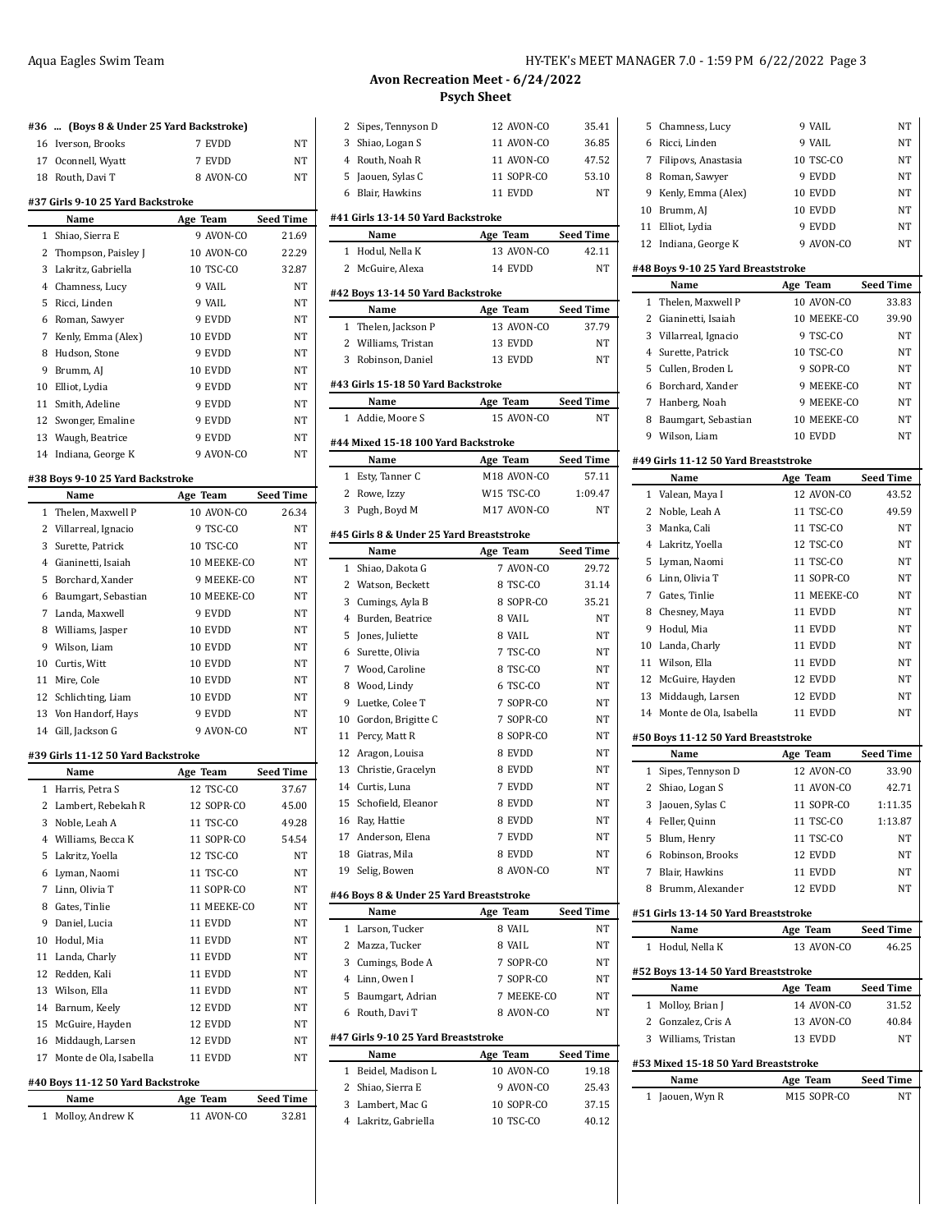# **#36 ... (Boys 8 & Under 25 Yard Backstroke)** Iverson, Brooks 7 EVDD NT 17 Oconnell, Wyatt 7 EVDD NT 18 Routh, Davi T 8 AVON-CO NT **#37 Girls 9-10 25 Yard Backstroke Name Age Team Seed Time** Shiao, Sierra E 9 AVON-CO 21.69 2 Thompson, Paisley J 10 AVON-CO 22.29 Lakritz, Gabriella 10 TSC-CO 32.87 4 Chamness, Lucy 9 VAIL NT 5 Ricci, Linden 9 VAIL NT Roman, Sawyer 9 EVDD NT Kenly, Emma (Alex) 10 EVDD NT 8 Hudson, Stone 9 EVDD NT 9 Brumm, AJ 10 EVDD NT Elliot, Lydia 9 EVDD NT 11 Smith, Adeline 9 EVDD NT 12 Swonger, Emaline 9 EVDD NT 13 Waugh, Beatrice 9 EVDD NT Indiana, George K 9 AVON-CO NT **#38 Boys 9-10 25 Yard Backstroke Name Age Team Seed Time** 1 Thelen, Maxwell P 10 AVON-CO 26.34 Villarreal, Ignacio 9 TSC-CO NT Surette, Patrick 10 TSC-CO NT Gianinetti, Isaiah 10 MEEKE-CO NT Borchard, Xander 9 MEEKE-CO NT Baumgart, Sebastian 10 MEEKE-CO NT Landa, Maxwell 9 EVDD NT 8 Williams, Jasper 10 EVDD NT Wilson, Liam 10 EVDD NT 10 Curtis, Witt 10 EVDD NT 11 Mire, Cole 10 EVDD NT 12 Schlichting, Liam 10 EVDD NT 13 Von Handorf, Hays 9 EVDD NT 14 Gill, Jackson G 9 AVON-CO NT **#39 Girls 11-12 50 Yard Backstroke Name Age Team Seed Time**

|    | name                   | age leam    | seea 11me |
|----|------------------------|-------------|-----------|
|    | 1 Harris, Petra S      | 12 TSC-CO   | 37.67     |
| 2  | Lambert, Rebekah R     | 12 SOPR-CO  | 45.00     |
| 3  | Noble, Leah A          | 11 TSC-CO   | 49.28     |
|    | 4 Williams, Becca K    | 11 SOPR-CO  | 54.54     |
| 5  | Lakritz, Yoella        | 12 TSC-CO   | NT        |
| 6  | Lyman, Naomi           | 11 TSC-CO   | <b>NT</b> |
| 7  | Linn, Olivia T         | 11 SOPR-CO  | <b>NT</b> |
| 8  | Gates, Tinlie          | 11 MEEKE-CO | <b>NT</b> |
| 9  | Daniel, Lucia          | 11 EVDD     | <b>NT</b> |
| 10 | Hodul, Mia             | 11 EVDD     | <b>NT</b> |
| 11 | Landa, Charly          | 11 EVDD     | <b>NT</b> |
| 12 | Redden, Kali           | 11 EVDD     | <b>NT</b> |
|    | 13 Wilson, Ella        | 11 EVDD     | <b>NT</b> |
|    | 14 Barnum, Keely       | 12 EVDD     | NT        |
|    | 15 McGuire, Hayden     | 12 EVDD     | <b>NT</b> |
|    | 16 Middaugh, Larsen    | 12 EVDD     | <b>NT</b> |
| 17 | Monte de Ola, Isabella | 11 EVDD     | NT        |
|    |                        |             |           |

#### **#40 Boys 11-12 50 Yard Backstroke**

| Name               | Age Team   | <b>Seed Time</b> |
|--------------------|------------|------------------|
| 1 Molloy, Andrew K | 11 AVON-CO | 32.81            |

Chamness Lucy 9 VAIL NT

#### **Avon Recreation Meet - 6/24/2022 Psych Sheet**

 $\overline{a}$ 

 $\overline{a}$ 

 $\overline{\phantom{a}}$ 

 $\overline{a}$ 

 $\overline{\phantom{a}}$ 

 $\overline{a}$ 

| 2            | Sipes, Tennyson D                        | 12 AVON-CO             | 35.41                     |
|--------------|------------------------------------------|------------------------|---------------------------|
| 3            | Shiao, Logan S                           | 11 AVON-CO             | 36.85                     |
|              | 4 Routh, Noah R                          | 11 AVON-CO             | 47.52                     |
|              | 5 Jaouen, Sylas C                        | 11 SOPR-CO             | 53.10                     |
| 6            | Blair, Hawkins                           | 11 EVDD                | NΤ                        |
|              | #41 Girls 13-14 50 Yard Backstroke       |                        |                           |
|              | Name                                     | Age Team               | <b>Seed Time</b>          |
| 1            | Hodul, Nella K                           | 13 AVON-CO             | 42.11                     |
| 2            | McGuire, Alexa                           | 14 EVDD                | NΤ                        |
|              |                                          |                        |                           |
|              | #42 Boys 13-14 50 Yard Backstroke        |                        |                           |
|              | Name<br>1 Thelen, Jackson P              | Age Team<br>13 AVON-CO | <b>Seed Time</b><br>37.79 |
|              | 2 Williams, Tristan                      | 13 EVDD                | NΤ                        |
| 3            | Robinson, Daniel                         | 13 EVDD                | NT                        |
|              |                                          |                        |                           |
|              | #43 Girls 15-18 50 Yard Backstroke       |                        |                           |
|              | Name                                     | Age Team               | <b>Seed Time</b>          |
| 1            | Addie, Moore S                           | 15 AVON-CO             | NΤ                        |
|              | #44 Mixed 15-18 100 Yard Backstroke      |                        |                           |
|              | Name                                     | Age Team               | <b>Seed Time</b>          |
| $\mathbf{1}$ | Esty, Tanner C                           | M18 AVON-CO            | 57.11                     |
| 2            | Rowe, Izzy                               | W15 TSC-CO             | 1:09.47                   |
| 3            | Pugh, Boyd M                             | M17 AVON-CO            | NT                        |
|              | #45 Girls 8 & Under 25 Yard Breaststroke |                        |                           |
|              | Name                                     | Age Team               | <b>Seed Time</b>          |
|              | 1 Shiao, Dakota G                        | 7 AVON-CO              | 29.72                     |
|              | 2 Watson, Beckett                        | 8 TSC-CO               | 31.14                     |
| 3            | Cumings, Ayla B                          | 8 SOPR-CO              | 35.21                     |
| 4            | Burden, Beatrice                         | 8 VAIL                 | NΤ                        |
| 5            | Jones, Juliette                          | 8 VAIL                 | NΤ                        |
|              | 6 Surette, Olivia                        | 7 TSC-CO               | NT                        |
|              | 7 Wood, Caroline                         | 8 TSC-CO               | NT                        |
| 8            | Wood, Lindy                              | 6 TSC-CO               | NT                        |
| 9            | Luetke, Colee T                          | 7 SOPR-CO              | NT                        |
|              | 10 Gordon, Brigitte C                    | 7 SOPR-CO              | NΤ                        |
|              | 11 Percy, Matt R                         | 8 SOPR-CO              | NT                        |
|              |                                          |                        |                           |
|              | 12 Aragon, Louisa                        | 8 EVDD                 | NΤ                        |
|              | 13 Christie, Gracelyn                    | 8 EVDD                 | NT                        |
|              | 14 Curtis, Luna                          | 7 EVDD                 | NΤ                        |
| 15           | Schofield, Eleanor                       | 8 EVDD                 | NT                        |
| 16           | Ray, Hattie                              | 8 EVDD                 | NΤ                        |
|              | 17 Anderson, Elena                       | 7 EVDD                 | NΤ                        |
|              | 18 Giatras, Mila                         | 8 EVDD                 | NΤ                        |
|              | 19 Selig, Bowen                          | 8 AVON-CO              | NT                        |
|              | #46 Boys 8 & Under 25 Yard Breaststroke  |                        |                           |
|              | Name                                     | Age Team               | <b>Seed Time</b>          |
| 1            | Larson, Tucker                           | 8 VAIL                 | NT                        |
| 2            | Mazza, Tucker                            | 8 VAIL                 | NT                        |
|              | 3 Cumings, Bode A                        | 7 SOPR-CO              | NΤ                        |
|              | 4 Linn, Owen I                           | 7 SOPR-CO              | NΤ                        |
|              | 5 Baumgart, Adrian                       | 7 MEEKE-CO             | NΤ                        |
|              | 6 Routh, Davi T                          | 8 AVON-CO              | NΤ                        |
|              | #47 Girls 9-10 25 Yard Breaststroke      |                        |                           |
|              | Name                                     | Age Team               | <b>Seed Time</b>          |
| 1            | Beidel, Madison L                        | 10 AVON-CO             | 19.18                     |
|              | 2 Shiao, Sierra E                        | 9 AVON-CO              | 25.43                     |
| 3            | Lambert, Mac G                           | 10 SOPR-CO             | 37.15                     |

|    |                                      |             | NΤ               |
|----|--------------------------------------|-------------|------------------|
| 6  | Ricci, Linden                        | 9 VAIL      |                  |
|    | 7 Filipovs, Anastasia                | 10 TSC-CO   | NΤ               |
|    | 8 Roman, Sawyer                      | 9 EVDD      | NΤ               |
|    | 9 Kenly, Emma (Alex)                 | 10 EVDD     | NΤ               |
|    | 10 Brumm, AJ                         | 10 EVDD     | NΤ               |
|    | 11 Elliot, Lydia                     | 9 EVDD      | NΤ               |
| 12 | Indiana, George K                    | 9 AVON-CO   | NΤ               |
|    | #48 Boys 9-10 25 Yard Breaststroke   |             |                  |
|    | Name                                 | Age Team    | <b>Seed Time</b> |
|    | 1 Thelen, Maxwell P                  | 10 AVON-CO  | 33.83            |
|    | 2 Gianinetti, Isaiah                 | 10 MEEKE-CO | 39.90            |
|    | 3 Villarreal, Ignacio                | 9 TSC-CO    | NΤ               |
|    | 4 Surette, Patrick                   | 10 TSC-CO   | <b>NT</b>        |
| 5  | Cullen, Broden L                     | 9 SOPR-CO   | NT               |
|    | 6 Borchard, Xander                   | 9 MEEKE-CO  | NΤ               |
|    | 7 Hanberg, Noah                      | 9 MEEKE-CO  | NΤ               |
|    | 8 Baumgart, Sebastian                | 10 MEEKE-CO | NΤ               |
|    | 9 Wilson, Liam                       | 10 EVDD     | NT               |
|    |                                      |             |                  |
|    | #49 Girls 11-12 50 Yard Breaststroke |             |                  |
|    | Name                                 | Age Team    | <b>Seed Time</b> |
| 1  | Valean, Maya I                       | 12 AVON-CO  | 43.52            |
|    | 2 Noble, Leah A                      | 11 TSC-CO   | 49.59            |
| 3  | Manka, Cali                          | 11 TSC-CO   | NΤ               |
|    | 4 Lakritz, Yoella                    | 12 TSC-CO   | NΤ               |
|    | 5 Lyman, Naomi                       | 11 TSC-CO   | NΤ               |
|    | 6 Linn, Olivia T                     | 11 SOPR-CO  | <b>NT</b>        |
|    | 7 Gates, Tinlie                      | 11 MEEKE-CO | NT               |
|    | 8 Chesney, Maya                      | 11 EVDD     | NT               |
| 9  | Hodul, Mia                           | 11 EVDD     | NΤ               |
|    | 10 Landa, Charly                     | 11 EVDD     | NΤ               |
|    | 11 Wilson, Ella                      | 11 EVDD     | NΤ               |
|    |                                      |             |                  |
|    | 12 McGuire, Hayden                   | 12 EVDD     | NΤ               |
| 13 | Middaugh, Larsen                     | 12 EVDD     | NΤ               |
|    | 14 Monte de Ola, Isabella            | 11 EVDD     | NΤ               |
|    | #50 Boys 11-12 50 Yard Breaststroke  |             |                  |
|    | Name                                 | Age Team    | <b>Seed Time</b> |
|    | 1 Sipes, Tennyson D                  | 12 AVON-CO  | 33.90            |
|    | 2 Shiao, Logan S                     | 11 AVON-CO  | 42.71            |
|    | 3 Jaouen, Sylas C                    | 11 SOPR-CO  | 1:11.35          |
| 4  | Feller, Quinn                        | 11 TSC-CO   | 1:13.87          |
|    | 5 Blum, Henry                        | 11 TSC-CO   | NΤ               |
|    | 6 Robinson, Brooks                   | 12 EVDD     | NΤ               |
|    | 7 Blair, Hawkins                     | 11 EVDD     | NΤ               |
|    | 8 Brumm, Alexander                   | 12 EVDD     | NΤ               |
|    |                                      |             |                  |
|    | #51 Girls 13-14 50 Yard Breaststroke |             |                  |
|    | Name                                 | Age Team    | <b>Seed Time</b> |
| 1  | Hodul, Nella K                       | 13 AVON-CO  | 46.25            |
|    | #52 Boys 13-14 50 Yard Breaststroke  |             |                  |
|    | Name                                 | Age Team    | <b>Seed Time</b> |
|    | 1 Molloy, Brian J                    | 14 AVON-CO  | 31.52            |
|    | 2 Gonzalez, Cris A                   | 13 AVON-CO  | 40.84            |
|    | 3 Williams, Tristan                  | 13 EVDD     | NΤ               |
|    | #53 Mixed 15-18 50 Yard Breaststroke |             |                  |
|    | Name                                 | Age Team    | <b>Seed Time</b> |
| 1  | Jaouen, Wyn R                        | M15 SOPR-CO | NΤ               |
|    |                                      |             |                  |
|    |                                      |             |                  |
|    |                                      |             |                  |
|    |                                      |             |                  |